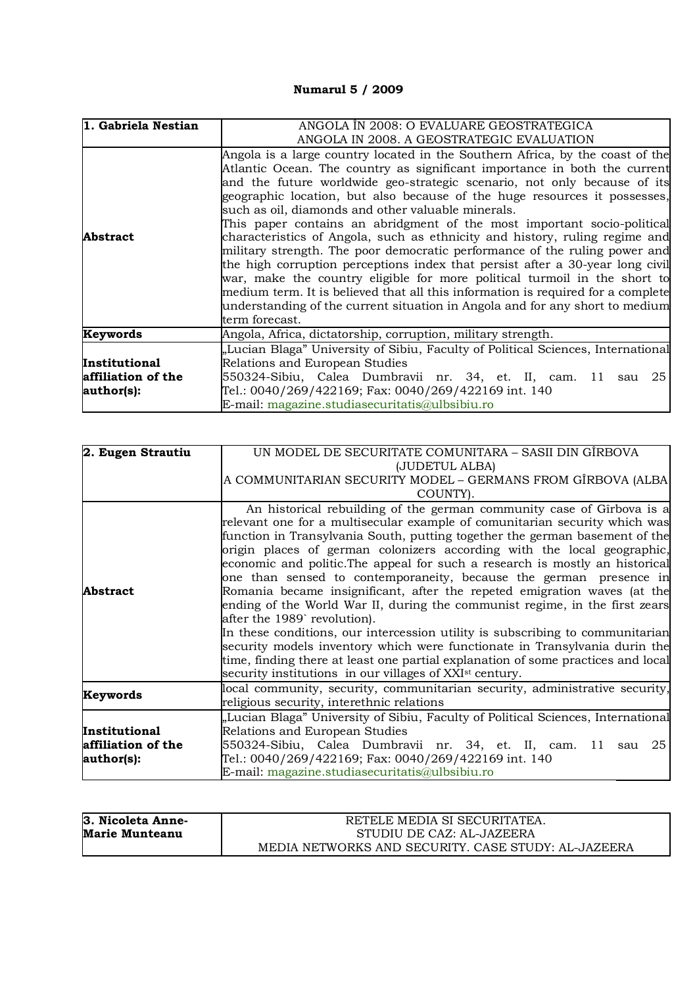## **Numarul 5 / 2009**

| 1. Gabriela Nestian | ANGOLA ÎN 2008: O EVALUARE GEOSTRATEGICA                                         |
|---------------------|----------------------------------------------------------------------------------|
|                     | ANGOLA IN 2008. A GEOSTRATEGIC EVALUATION                                        |
|                     | Angola is a large country located in the Southern Africa, by the coast of the    |
|                     | Atlantic Ocean. The country as significant importance in both the current        |
|                     | and the future worldwide geo-strategic scenario, not only because of its         |
|                     | geographic location, but also because of the huge resources it possesses,        |
|                     | such as oil, diamonds and other valuable minerals.                               |
|                     | This paper contains an abridgment of the most important socio-political          |
| <b>Abstract</b>     | characteristics of Angola, such as ethnicity and history, ruling regime and      |
|                     | military strength. The poor democratic performance of the ruling power and       |
|                     | the high corruption perceptions index that persist after a 30-year long civil    |
|                     | war, make the country eligible for more political turmoil in the short to        |
|                     | medium term. It is believed that all this information is required for a complete |
|                     | understanding of the current situation in Angola and for any short to medium     |
|                     | term forecast.                                                                   |
| Keywords            | Angola, Africa, dictatorship, corruption, military strength.                     |
|                     | "Lucian Blaga" University of Sibiu, Faculty of Political Sciences, International |
| Institutional       | Relations and European Studies                                                   |
| affiliation of the  | 550324-Sibiu, Calea Dumbravii nr. 34, et. II, cam. 11 sau 25                     |
| author(s):          | Tel.: 0040/269/422169; Fax: 0040/269/422169 int. 140                             |
|                     | E-mail: magazine.studiasecuritatis@ulbsibiu.ro                                   |

| 2. Eugen Strautiu  | UN MODEL DE SECURITATE COMUNITARA – SASII DIN GIRBOVA                            |
|--------------------|----------------------------------------------------------------------------------|
|                    | (JUDETUL ALBA)                                                                   |
|                    | A COMMUNITARIAN SECURITY MODEL – GERMANS FROM GÎRBOVA (ALBA                      |
|                    | COUNTY).                                                                         |
|                    | An historical rebuilding of the german community case of Girbova is a            |
|                    | relevant one for a multisecular example of comunitarian security which was       |
|                    | function in Transylvania South, putting together the german basement of the      |
|                    | origin places of german colonizers according with the local geographic,          |
|                    | economic and politic. The appeal for such a research is mostly an historical     |
|                    | one than sensed to contemporaneity, because the german presence in               |
| <b>Abstract</b>    | Romania became insignificant, after the repeted emigration waves (at the         |
|                    | ending of the World War II, during the communist regime, in the first zears      |
|                    | after the 1989 revolution).                                                      |
|                    | In these conditions, our intercession utility is subscribing to communitarian    |
|                    | security models inventory which were functionate in Transylvania durin the       |
|                    | time, finding there at least one partial explanation of some practices and local |
|                    | security institutions in our villages of XXI <sup>st</sup> century.              |
|                    | local community, security, communitarian security, administrative security,      |
| Keywords           | religious security, interethnic relations                                        |
|                    | "Lucian Blaga" University of Sibiu, Faculty of Political Sciences, International |
| Institutional      | Relations and European Studies                                                   |
| affiliation of the | 550324-Sibiu, Calea Dumbravii nr. 34, et. II, cam. 11 sau 25                     |
| author(s):         | Tel.: 0040/269/422169; Fax: 0040/269/422169 int. 140                             |
|                    | E-mail: magazine.studiasecuritatis@ulbsibiu.ro                                   |

| 3. Nicoleta Anne-     | RETELE MEDIA SI SECURITATEA.                        |
|-----------------------|-----------------------------------------------------|
| <b>Marie Munteanu</b> | STUDIU DE CAZ: AL-JAZEERA                           |
|                       | MEDIA NETWORKS AND SECURITY. CASE STUDY: AL-JAZEERA |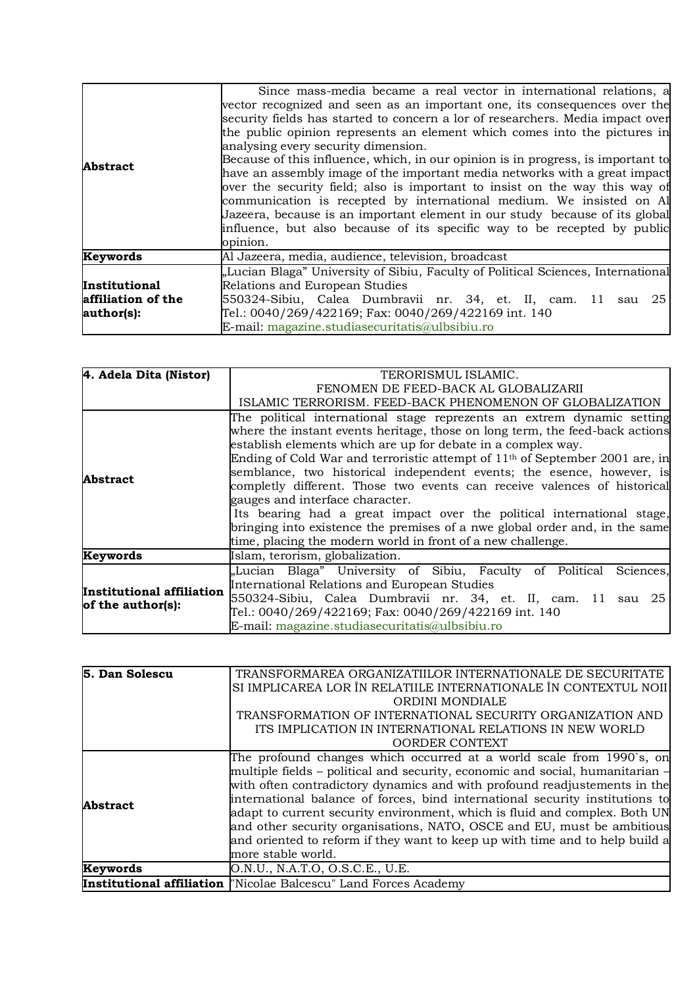|                    | Since mass-media became a real vector in international relations, a              |
|--------------------|----------------------------------------------------------------------------------|
|                    | vector recognized and seen as an important one, its consequences over the        |
|                    | security fields has started to concern a lor of researchers. Media impact over   |
|                    | the public opinion represents an element which comes into the pictures in        |
|                    | analysing every security dimension.                                              |
| <b>Abstract</b>    | Because of this influence, which, in our opinion is in progress, is important to |
|                    | have an assembly image of the important media networks with a great impact       |
|                    | over the security field; also is important to insist on the way this way of      |
|                    | communication is recepted by international medium. We insisted on Al             |
|                    | Jazeera, because is an important element in our study because of its global      |
|                    | influence, but also because of its specific way to be recepted by public         |
|                    | opinion.                                                                         |
| <b>Keywords</b>    | Al Jazeera, media, audience, television, broadcast                               |
|                    | "Lucian Blaga" University of Sibiu, Faculty of Political Sciences, International |
| Institutional      | Relations and European Studies                                                   |
| affiliation of the | 550324-Sibiu, Calea Dumbravii nr. 34, et. II, cam. 11 sau 25                     |
| author(s):         | Tel.: 0040/269/422169; Fax: 0040/269/422169 int. 140                             |
|                    | E-mail: magazine.studiasecuritatis@ulbsibiu.ro                                   |

| 4. Adela Dita (Nistor)                         | TERORISMUL ISLAMIC.                                                            |
|------------------------------------------------|--------------------------------------------------------------------------------|
|                                                | FENOMEN DE FEED-BACK AL GLOBALIZARII                                           |
|                                                | ISLAMIC TERRORISM. FEED-BACK PHENOMENON OF GLOBALIZATION                       |
|                                                | The political international stage reprezents an extrem dynamic setting         |
|                                                | where the instant events heritage, those on long term, the feed-back actions   |
|                                                | establish elements which are up for debate in a complex way.                   |
|                                                | Ending of Cold War and terroristic attempt of $11th$ of September 2001 are, in |
| Abstract                                       | semblance, two historical independent events; the esence, however, is          |
|                                                | completly different. Those two events can receive valences of historical       |
|                                                | gauges and interface character.                                                |
|                                                | Its bearing had a great impact over the political international stage,         |
|                                                | bringing into existence the premises of a nwe global order and, in the same    |
|                                                | time, placing the modern world in front of a new challenge.                    |
| Keywords                                       | Islam, terorism, globalization.                                                |
| Institutional affiliation<br>of the author(s): | "Lucian Blaga" University of Sibiu, Faculty of Political<br>Sciences.          |
|                                                | International Relations and European Studies                                   |
|                                                | 550324-Sibiu, Calea Dumbravii nr. 34, et. II, cam. 11 sau 25                   |
|                                                | Tel.: 0040/269/422169; Fax: 0040/269/422169 int. 140                           |
|                                                | E-mail: magazine.studiasecuritatis@ulbsibiu.ro                                 |

| 5. Dan Solescu  | TRANSFORMAREA ORGANIZATIILOR INTERNATIONALE DE SECURITATE                                                                                                                                                                                                                                                                                                                                                               |
|-----------------|-------------------------------------------------------------------------------------------------------------------------------------------------------------------------------------------------------------------------------------------------------------------------------------------------------------------------------------------------------------------------------------------------------------------------|
|                 | SI IMPLICAREA LOR ÎN RELATIILE INTERNATIONALE ÎN CONTEXTUL NOII                                                                                                                                                                                                                                                                                                                                                         |
|                 | ORDINI MONDIALE                                                                                                                                                                                                                                                                                                                                                                                                         |
|                 | TRANSFORMATION OF INTERNATIONAL SECURITY ORGANIZATION AND                                                                                                                                                                                                                                                                                                                                                               |
|                 | ITS IMPLICATION IN INTERNATIONAL RELATIONS IN NEW WORLD                                                                                                                                                                                                                                                                                                                                                                 |
|                 | <b>OORDER CONTEXT</b>                                                                                                                                                                                                                                                                                                                                                                                                   |
| <b>Abstract</b> | The profound changes which occurred at a world scale from 1990's, on<br>multiple fields - political and security, economic and social, humanitarian $\overline{\phantom{a}}$<br>with often contradictory dynamics and with profound readjustements in the<br>international balance of forces, bind international security institutions to<br>adapt to current security environment, which is fluid and complex. Both UN |
|                 | and other security organisations, NATO, OSCE and EU, must be ambitious<br>and oriented to reform if they want to keep up with time and to help build a<br>more stable world.                                                                                                                                                                                                                                            |
| Keywords        | O.N.U., N.A.T.O, O.S.C.E., U.E.                                                                                                                                                                                                                                                                                                                                                                                         |
|                 | <b>Institutional affiliation</b> Whicolae Balcescu" Land Forces Academy                                                                                                                                                                                                                                                                                                                                                 |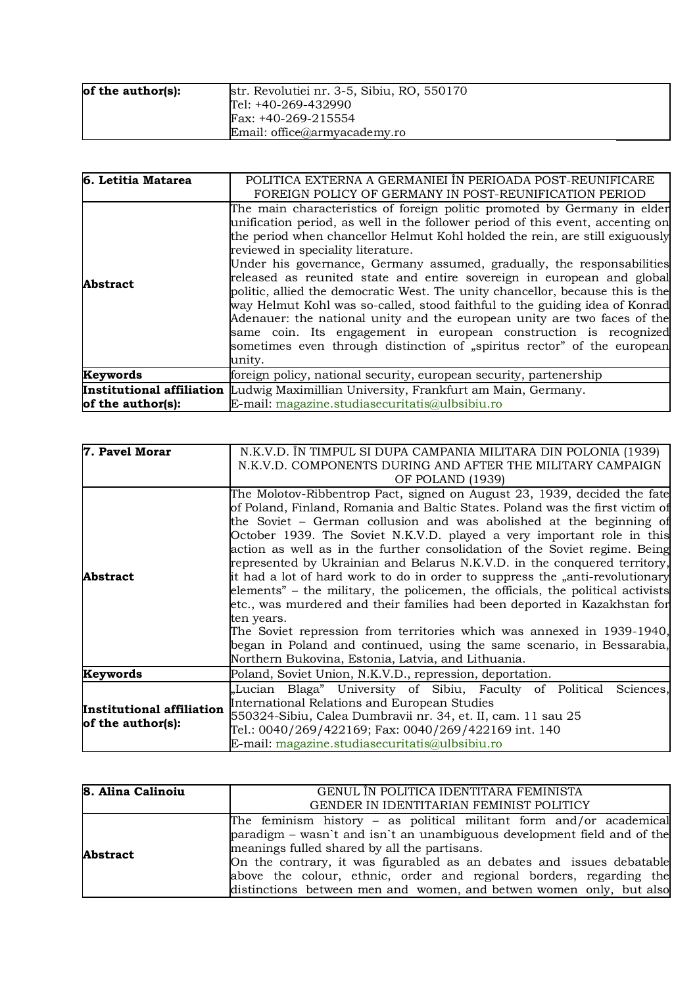| of the author(s): | str. Revolutiei nr. 3-5, Sibiu, RO, 550170 |
|-------------------|--------------------------------------------|
|                   | Tel: +40-269-432990                        |
|                   | Fax: +40-269-215554                        |
|                   | Email: office@armyacademy.ro               |

| 6. Letitia Matarea | POLITICA EXTERNA A GERMANIEI ÎN PERIOADA POST-REUNIFICARE<br>FOREIGN POLICY OF GERMANY IN POST-REUNIFICATION PERIOD                                                                                                                                                                                                                                                                                                                                                                                                                                                                                                                                                                                                                                                                                                                        |
|--------------------|--------------------------------------------------------------------------------------------------------------------------------------------------------------------------------------------------------------------------------------------------------------------------------------------------------------------------------------------------------------------------------------------------------------------------------------------------------------------------------------------------------------------------------------------------------------------------------------------------------------------------------------------------------------------------------------------------------------------------------------------------------------------------------------------------------------------------------------------|
| <b>Abstract</b>    | The main characteristics of foreign politic promoted by Germany in elder<br>unification period, as well in the follower period of this event, accenting on<br>the period when chancellor Helmut Kohl holded the rein, are still exiguously<br>reviewed in speciality literature.<br>Under his governance, Germany assumed, gradually, the responsabilities<br>released as reunited state and entire sovereign in european and global<br>politic, allied the democratic West. The unity chancellor, because this is the<br>way Helmut Kohl was so-called, stood faithful to the guiding idea of Konrad<br>Adenauer: the national unity and the european unity are two faces of the<br>same coin. Its engagement in european construction is recognized<br>sometimes even through distinction of "spiritus rector" of the european<br>unity. |
| Keywords           | foreign policy, national security, european security, partenership                                                                                                                                                                                                                                                                                                                                                                                                                                                                                                                                                                                                                                                                                                                                                                         |
| of the author(s):  | <b>Institutional affiliation</b> Ludwig Maximillian University, Frankfurt am Main, Germany.<br>E-mail: magazine.studiasecuritatis@ulbsibiu.ro                                                                                                                                                                                                                                                                                                                                                                                                                                                                                                                                                                                                                                                                                              |

| 7. Pavel Morar                                 | N.K.V.D. ÎN TIMPUL SI DUPA CAMPANIA MILITARA DIN POLONIA (1939)<br>N.K.V.D. COMPONENTS DURING AND AFTER THE MILITARY CAMPAIGN<br>OF POLAND (1939)                                                                                                                                                                                                                                                                                                                                                                                                                                                                                                                                                                                                                                                                                                                                                                                             |
|------------------------------------------------|-----------------------------------------------------------------------------------------------------------------------------------------------------------------------------------------------------------------------------------------------------------------------------------------------------------------------------------------------------------------------------------------------------------------------------------------------------------------------------------------------------------------------------------------------------------------------------------------------------------------------------------------------------------------------------------------------------------------------------------------------------------------------------------------------------------------------------------------------------------------------------------------------------------------------------------------------|
| <b>Abstract</b>                                | The Molotov-Ribbentrop Pact, signed on August 23, 1939, decided the fate<br>of Poland, Finland, Romania and Baltic States. Poland was the first victim of<br>the Soviet – German collusion and was abolished at the beginning of<br>October 1939. The Soviet N.K.V.D. played a very important role in this<br>action as well as in the further consolidation of the Soviet regime. Being<br>represented by Ukrainian and Belarus N.K.V.D. in the conquered territory,<br>it had a lot of hard work to do in order to suppress the "anti-revolutionary<br>elements" – the military, the policemen, the officials, the political activists<br>etc., was murdered and their families had been deported in Kazakhstan for<br>ten years.<br>The Soviet repression from territories which was annexed in 1939-1940,<br>began in Poland and continued, using the same scenario, in Bessarabia,<br>Northern Bukovina, Estonia, Latvia, and Lithuania. |
| Keywords                                       | Poland, Soviet Union, N.K.V.D., repression, deportation.                                                                                                                                                                                                                                                                                                                                                                                                                                                                                                                                                                                                                                                                                                                                                                                                                                                                                      |
| Institutional affiliation<br>of the author(s): | "Lucian Blaga" University of Sibiu, Faculty of Political<br>Sciences,<br>International Relations and European Studies<br>550324-Sibiu, Calea Dumbravii nr. 34, et. II, cam. 11 sau 25<br>Tel.: 0040/269/422169; Fax: 0040/269/422169 int. 140<br>E-mail: magazine.studiasecuritatis@ulbsibiu.ro                                                                                                                                                                                                                                                                                                                                                                                                                                                                                                                                                                                                                                               |

| 8. Alina Calinoiu | GENUL ÎN POLITICA IDENTITARA FEMINISTA                                  |
|-------------------|-------------------------------------------------------------------------|
|                   | GENDER IN IDENTITARIAN FEMINIST POLITICY                                |
| <b>Abstract</b>   | The feminism history $-$ as political militant form and/or academical   |
|                   | paradigm – wasn't and isn't an unambiguous development field and of the |
|                   | meanings fulled shared by all the partisans.                            |
|                   | On the contrary, it was figurabled as an debates and issues debatable   |
|                   | above the colour, ethnic, order and regional borders, regarding the     |
|                   | distinctions between men and women, and betwen women only, but also     |